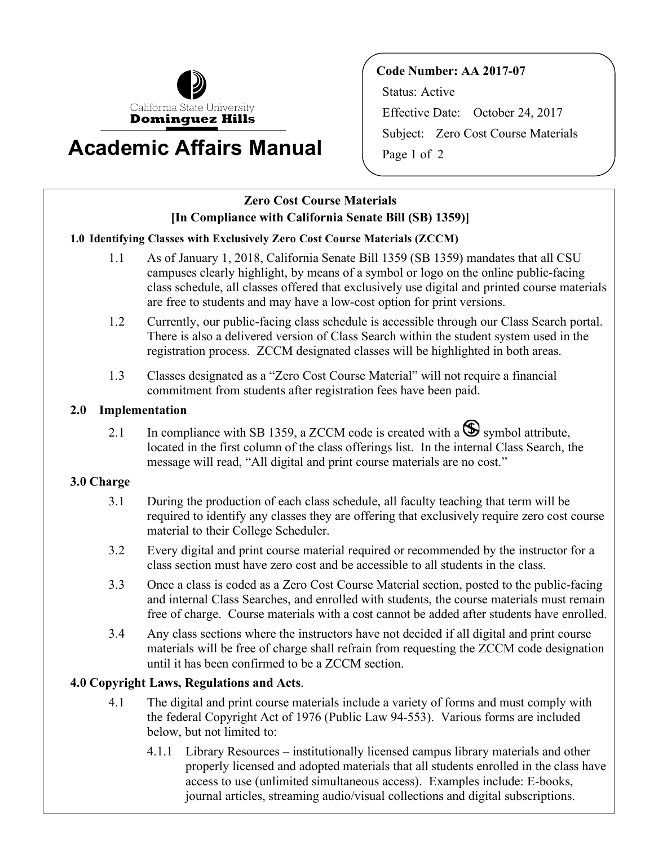

# **Academic Affairs Manual igage 1 of 2**

**Code Number: AA 2017-07**  Status: Active Effective Date: October 24, 2017 Subject: Zero Cost Course Materials

## **Zero Cost Course Materials [In Compliance with California Senate Bill (SB) 1359)]**

### **1.0 Identifying Classes with Exclusively Zero Cost Course Materials (ZCCM)**

- 1.1 As of January 1, 2018, California Senate Bill 1359 (SB 1359) mandates that all CSU campuses clearly highlight, by means of a symbol or logo on the online public-facing class schedule, all classes offered that exclusively use digital and printed course materials are free to students and may have a low-cost option for print versions.
- 1.2 Currently, our public-facing class schedule is accessible through our Class Search portal. There is also a delivered version of Class Search within the student system used in the registration process. ZCCM designated classes will be highlighted in both areas.
- 1.3 Classes designated as a "Zero Cost Course Material" will not require a financial commitment from students after registration fees have been paid.

#### **2.0 Implementation**

2.1 In compliance with SB 1359, a ZCCM code is created with a  $\bullet$  symbol attribute, located in the first column of the class offerings list. In the internal Class Search, the message will read, "All digital and print course materials are no cost."

#### **3.0 Charge**

- 3.1 During the production of each class schedule, all faculty teaching that term will be required to identify any classes they are offering that exclusively require zero cost course material to their College Scheduler.
- 3.2 Every digital and print course material required or recommended by the instructor for a class section must have zero cost and be accessible to all students in the class.
- 3.3 Once a class is coded as a Zero Cost Course Material section, posted to the public-facing and internal Class Searches, and enrolled with students, the course materials must remain free of charge. Course materials with a cost cannot be added after students have enrolled.
- 3.4 Any class sections where the instructors have not decided if all digital and print course materials will be free of charge shall refrain from requesting the ZCCM code designation until it has been confirmed to be a ZCCM section.

#### **4.0 Copyright Laws, Regulations and Acts**.

- 4.1 The digital and print course materials include a variety of forms and must comply with the federal Copyright Act of 1976 (Public Law 94-553). Various forms are included below, but not limited to:
	- 4.1.1 Library Resources institutionally licensed campus library materials and other properly licensed and adopted materials that all students enrolled in the class have access to use (unlimited simultaneous access). Examples include: E-books, journal articles, streaming audio/visual collections and digital subscriptions.